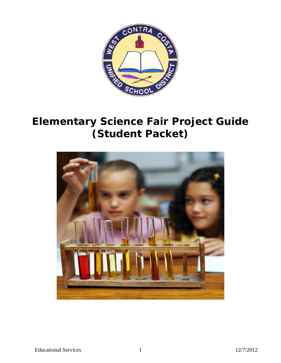

# **Elementary Science Fair Project Guide (Student Packet)**

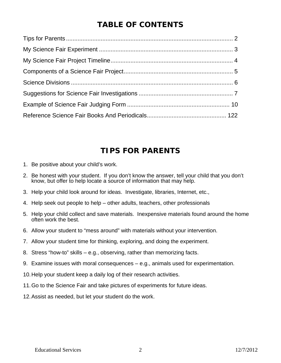# **TABLE OF CONTENTS**

## **TIPS FOR PARENTS**

- 1. Be positive about your child's work.
- 2. Be honest with your student. If you don't know the answer, tell your child that you don't know, but offer to help locate a source of information that may help.
- 3. Help your child look around for ideas. Investigate, libraries, Internet, etc.,
- 4. Help seek out people to help other adults, teachers, other professionals
- 5. Help your child collect and save materials. Inexpensive materials found around the home often work the best.
- 6. Allow your student to "mess around" with materials without your intervention.
- 7. Allow your student time for thinking, exploring, and doing the experiment.
- 8. Stress "how-to" skills e.g., observing, rather than memorizing facts.
- 9. Examine issues with moral consequences e.g., animals used for experimentation.
- 10. Help your student keep a daily log of their research activities.
- 11. Go to the Science Fair and take pictures of experiments for future ideas.
- 12. Assist as needed, but let your student do the work.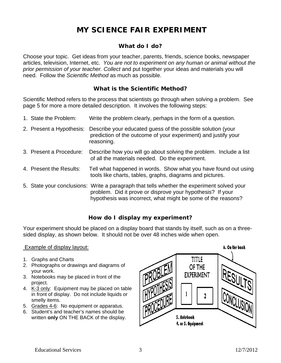# **MY SCIENCE FAIR EXPERIMENT**

#### **What do I do?**

Choose your topic. Get ideas from your teacher, parents, friends, science books, newspaper articles, television, Internet, etc. *You are not to experiment on any human or animal without the prior permission of your teacher. Collect* and put together your ideas and materials you will need.Follow the *Scientific Method* as much as possible.

#### **What is the Scientific Method?**

Scientific Method refers to the process that scientists go through when solving a problem. See page 5 for more a more detailed description. It involves the following steps:

| 1. State the Problem:    | Write the problem clearly, perhaps in the form of a question.                                                                                                                                                            |
|--------------------------|--------------------------------------------------------------------------------------------------------------------------------------------------------------------------------------------------------------------------|
| 2. Present a Hypothesis: | Describe your educated guess of the possible solution (your<br>prediction of the outcome of your experiment) and justify your<br>reasoning.                                                                              |
| 3. Present a Procedure:  | Describe how you will go about solving the problem. Include a list<br>of all the materials needed. Do the experiment.                                                                                                    |
| 4. Present the Results:  | Tell what happened in words. Show what you have found out using<br>tools like charts, tables, graphs, diagrams and pictures.                                                                                             |
|                          | 5. State your conclusions: Write a paragraph that tells whether the experiment solved your<br>problem. Did it prove or disprove your hypothesis? If your<br>hypothesis was incorrect, what might be some of the reasons? |

#### **How do I display my experiment?**

Your experiment should be placed on a display board that stands by itself, such as on a threesided display, as shown below. It should not be over 48 inches wide when open.

#### Example of display layout:

- 1. Graphs and Charts
- 2. Photographs or drawings and diagrams of your work.
- 3. Notebooks may be placed in front of the project.
- 4. K-3 only: Equipment may be placed on table in front of display. Do not include liquids or smelly items.
- 5. Grades 4-6: No equipment or apparatus.
- 6. Student's and teacher's names should be written **only** ON THE BACK of the display.

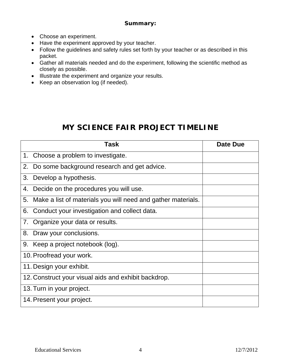#### **Summary:**

- Choose an experiment.
- Have the experiment approved by your teacher.
- Follow the guidelines and safety rules set forth by your teacher or as described in this packet.
- Gather all materials needed and do the experiment, following the scientific method as closely as possible.
- Illustrate the experiment and organize your results.
- Keep an observation log (if needed).

# **MY SCIENCE FAIR PROJECT TIMELINE**

| Task                                                               | Date Due |
|--------------------------------------------------------------------|----------|
| 1. Choose a problem to investigate.                                |          |
| Do some background research and get advice.<br>2.                  |          |
| Develop a hypothesis.<br>3.                                        |          |
| Decide on the procedures you will use.<br>4.                       |          |
| Make a list of materials you will need and gather materials.<br>5. |          |
| Conduct your investigation and collect data.<br>6.                 |          |
| Organize your data or results.<br>7.                               |          |
| 8.<br>Draw your conclusions.                                       |          |
| Keep a project notebook (log).<br>9.                               |          |
| 10. Proofread your work.                                           |          |
| 11. Design your exhibit.                                           |          |
| 12. Construct your visual aids and exhibit backdrop.               |          |
| 13. Turn in your project.                                          |          |
| 14. Present your project.                                          |          |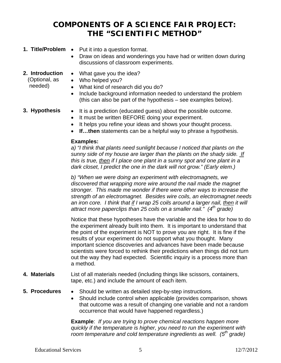# **COMPONENTS OF A SCIENCE FAIR PROJECT: THE "SCIENTIFIC METHOD"**

- **1. Title/Problem •** Put it into a question format.
	- Draw on ideas and wonderings you have had or written down during discussions of classroom experiments.
- **2. Introduction** 
	- What gave you the idea?

 (Optional, as needed)

- Who helped you?
	- What kind of research did you do?
	- Include background information needed to understand the problem (this can also be part of the hypothesis – see examples below).

- **3. Hypothesis** It is a prediction (educated guess) about the possible outcome.
	- It must be written BEFORE doing your experiment.
	- It helps you refine your ideas and shows your thought process.
	- **If…then** statements can be a helpful way to phrase a hypothesis.

#### **Examples:**

*a) "I think that plants need sunlight because I noticed that plants on the sunny side of my house are larger than the plants on the shady side. If this is true, then if I place one plant in a sunny spot and one plant in a dark closet, I predict the one in the dark will not grow." (Early elem.)* 

*b) "When we were doing an experiment with electromagnets, we discovered that wrapping more wire around the nail made the magnet stronger. This made me wonder if there were other ways to increase the strength of an electromagnet. Besides wire coils, an electromagnet needs*  an iron core. I think that if I wrap 25 coils around a larger nail, then it will attract more paperclips than 25 coils on a smaller nail." (4<sup>th</sup> grade)

Notice that these hypotheses have the variable and the idea for how to do the experiment already built into them. It is important to understand that the point of the experiment is NOT to prove you are right. It is fine if the results of your experiment do not support what you thought. Many important science discoveries and advances have been made because scientists were forced to rethink their predictions when things did not turn out the way they had expected. Scientific inquiry is a process more than a method.

- **4. Materials** List of all materials needed (including things like scissors, containers, tape, etc.) and include the amount of each item.
- 
- **5. Procedures** Should be written as detailed step-by-step instructions.
	- Should include control when applicable (provides comparison, shows that outcome was a result of changing one variable and not a random occurrence that would have happened regardless.)

**Example**: *If you are trying to prove chemical reactions happen more quickly if the temperature is higher, you need to run the experiment with room temperature and cold temperature ingredients as well.* (5<sup>th</sup> grade)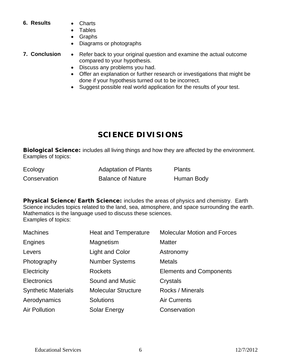#### **6. Results**  Charts

- 
- Tables
- Graphs
- Diagrams or photographs
- 
- **7. Conclusion** Refer back to your original question and examine the actual outcome compared to your hypothesis.
	- Discuss any problems you had.
	- Offer an explanation or further research or investigations that might be done if your hypothesis turned out to be incorrect.
	- Suggest possible real world application for the results of your test.

# **SCIENCE DIVISIONS**

**Biological Science:** includes all living things and how they are affected by the environment. Examples of topics:

| Ecology      | <b>Adaptation of Plants</b> | Plants     |
|--------------|-----------------------------|------------|
| Conservation | <b>Balance of Nature</b>    | Human Body |

**Physical Science/Earth Science:** includes the areas of physics and chemistry. Earth Science includes topics related to the land, sea, atmosphere, and space surrounding the earth. Mathematics is the language used to discuss these sciences. Examples of topics:

| <b>Machines</b>            | <b>Heat and Temperature</b> | <b>Molecular Motion and Forces</b> |
|----------------------------|-----------------------------|------------------------------------|
| Engines                    | Magnetism                   | <b>Matter</b>                      |
| Levers                     | <b>Light and Color</b>      | Astronomy                          |
| Photography                | <b>Number Systems</b>       | <b>Metals</b>                      |
| Electricity                | <b>Rockets</b>              | <b>Elements and Components</b>     |
| Electronics                | Sound and Music             | Crystals                           |
| <b>Synthetic Materials</b> | <b>Molecular Structure</b>  | Rocks / Minerals                   |
| Aerodynamics               | <b>Solutions</b>            | <b>Air Currents</b>                |
| <b>Air Pollution</b>       | Solar Energy                | Conservation                       |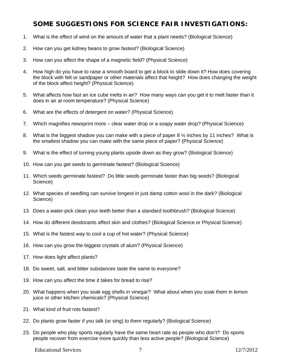### **SOME SUGGESTIONS FOR SCIENCE FAIR INVESTIGATIONS:**

- 1. What is the effect of wind on the amount of water that a plant needs? (Biological Science)
- 2. How can you get kidney beans to grow fastest? (Biological Science)
- 3. How can you affect the shape of a magnetic field? (Physical Science)
- 4. How high do you have to raise a smooth board to get a block to slide down it? How does covering the block with felt or sandpaper or other materials affect that height? How does changing the weight of the block affect height? (Physical Science)
- 5. What affects how fast an ice cube melts in air? How many ways can you get it to melt faster than it does in air at room temperature? (Physical Science)
- 6. What are the effects of detergent on water? (Physical Science)
- 7. Which magnifies newsprint more clear water drop or a soapy water drop? (Physical Science)
- 8. What is the biggest shadow you can make with a piece of paper 8  $\frac{1}{2}$  inches by 11 inches? What is the smallest shadow you can make with the same piece of paper? (Physical Science)
- 9. What is the effect of turning young plants upside down as they grow? (Biological Science)
- 10. How can you get seeds to germinate fastest? (Biological Science)
- 11. Which seeds germinate fastest? Do little seeds germinate faster than big seeds? (Biological Science)
- 12. What species of seedling can survive longest in just damp cotton wool in the dark? (Biological Science)
- 13. Does a water-pick clean your teeth better than a standard toothbrush? (Biological Science)
- 14. How do different deodorants affect skin and clothes? (Biological Science or Physical Science)
- 15. What is the fastest way to cool a cup of hot water? (Physical Science)
- 16. How can you grow the biggest crystals of alum? (Physical Science)
- 17. How does light affect plants?
- 18. Do sweet, salt, and bitter substances taste the same to everyone?
- 19. How can you affect the time it takes for bread to rise?
- 20. What happens when you soak egg shells in vinegar? What about when you soak them in lemon juice or other kitchen chemicals? (Physical Science)
- 21. What kind of fruit rots fastest?
- 22. Do plants grow faster if you talk (or sing) to them regularly? (Biological Science)
- 23. Do people who play sports regularly have the same heart rate as people who don't? Do sports people recover from exercise more quickly than less active people? (Biological Science)

Educational Services 7 12/7/2012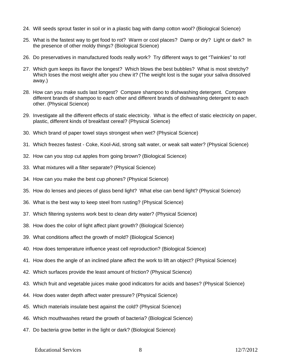- 24. Will seeds sprout faster in soil or in a plastic bag with damp cotton wool? (Biological Science)
- 25. What is the fastest way to get food to rot? Warm or cool places? Damp or dry? Light or dark? In the presence of other moldy things? (Biological Science)
- 26. Do preservatives in manufactured foods really work? Try different ways to get "Twinkies" to rot!
- 27. Which gum keeps its flavor the longest? Which blows the best bubbles? What is most stretchy? Which loses the most weight after you chew it? (The weight lost is the sugar your saliva dissolved away.)
- 28. How can you make suds last longest? Compare shampoo to dishwashing detergent. Compare different brands of shampoo to each other and different brands of dishwashing detergent to each other. (Physical Science)
- 29. Investigate all the different effects of static electricity. What is the effect of static electricity on paper, plastic, different kinds of breakfast cereal? (Physical Science)
- 30. Which brand of paper towel stays strongest when wet? (Physical Science)
- 31. Which freezes fastest Coke, Kool-Aid, strong salt water, or weak salt water? (Physical Science)
- 32. How can you stop cut apples from going brown? (Biological Science)
- 33. What mixtures will a filter separate? (Physical Science)
- 34. How can you make the best cup phones? (Physical Science)
- 35. How do lenses and pieces of glass bend light? What else can bend light? (Physical Science)
- 36. What is the best way to keep steel from rusting? (Physical Science)
- 37. Which filtering systems work best to clean dirty water? (Physical Science)
- 38. How does the color of light affect plant growth? (Biological Science)
- 39. What conditions affect the growth of mold? (Biological Science)
- 40. How does temperature influence yeast cell reproduction? (Biological Science)
- 41. How does the angle of an inclined plane affect the work to lift an object? (Physical Science)
- 42. Which surfaces provide the least amount of friction? (Physical Science)
- 43. Which fruit and vegetable juices make good indicators for acids and bases? (Physical Science)
- 44. How does water depth affect water pressure? (Physical Science)
- 45. Which materials insulate best against the cold? (Physical Science)
- 46. Which mouthwashes retard the growth of bacteria? (Biological Science)
- 47. Do bacteria grow better in the light or dark? (Biological Science)

#### Educational Services 8 12/7/2012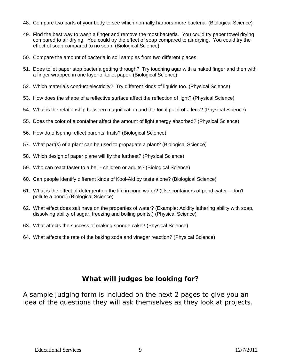- 48. Compare two parts of your body to see which normally harbors more bacteria. (Biological Science)
- 49. Find the best way to wash a finger and remove the most bacteria. You could try paper towel drying compared to air drying. You could try the effect of soap compared to air drying. You could try the effect of soap compared to no soap. (Biological Science)
- 50. Compare the amount of bacteria in soil samples from two different places.
- 51. Does toilet paper stop bacteria getting through? Try touching agar with a naked finger and then with a finger wrapped in one layer of toilet paper. (Biological Science)
- 52. Which materials conduct electricity? Try different kinds of liquids too. (Physical Science)
- 53. How does the shape of a reflective surface affect the reflection of light? (Physical Science)
- 54. What is the relationship between magnification and the focal point of a lens? (Physical Science)
- 55. Does the color of a container affect the amount of light energy absorbed? (Physical Science)
- 56. How do offspring reflect parents' traits? (Biological Science)
- 57. What part(s) of a plant can be used to propagate a plant? (Biological Science)
- 58. Which design of paper plane will fly the furthest? (Physical Science)
- 59. Who can react faster to a bell children or adults? (Biological Science)
- 60. Can people identify different kinds of Kool-Aid by taste alone? (Biological Science)
- 61. What is the effect of detergent on the life in pond water? (Use containers of pond water don't pollute a pond.) (Biological Science)
- 62. What effect does salt have on the properties of water? (Example: Acidity lathering ability with soap, dissolving ability of sugar, freezing and boiling points.) (Physical Science)
- 63. What affects the success of making sponge cake? (Physical Science)
- 64. What affects the rate of the baking soda and vinegar reaction? (Physical Science)

### **What will judges be looking for?**

A sample judging form is included on the next 2 pages to give you an idea of the questions they will ask themselves as they look at projects.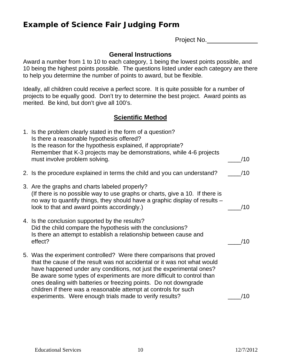# **Example of Science Fair Judging Form**

Project No.

### **General Instructions**

Award a number from 1 to 10 to each category, 1 being the lowest points possible, and 10 being the highest points possible. The questions listed under each category are there to help you determine the number of points to award, but be flexible.

Ideally, all children could receive a perfect score. It is quite possible for a number of projects to be equally good. Don't try to determine the best project. Award points as merited. Be kind, but don't give all 100's.

### **Scientific Method**

| 1. Is the problem clearly stated in the form of a question?<br>Is there a reasonable hypothesis offered?<br>Is the reason for the hypothesis explained, if appropriate?<br>Remember that K-3 projects may be demonstrations, while 4-6 projects                                                                                                                                                                                         |     |
|-----------------------------------------------------------------------------------------------------------------------------------------------------------------------------------------------------------------------------------------------------------------------------------------------------------------------------------------------------------------------------------------------------------------------------------------|-----|
| must involve problem solving.                                                                                                                                                                                                                                                                                                                                                                                                           | /10 |
| 2. Is the procedure explained in terms the child and you can understand?                                                                                                                                                                                                                                                                                                                                                                | /10 |
| 3. Are the graphs and charts labeled properly?<br>(If there is no possible way to use graphs or charts, give a 10. If there is<br>no way to quantify things, they should have a graphic display of results -<br>look to that and award points accordingly.)                                                                                                                                                                             | /10 |
| 4. Is the conclusion supported by the results?<br>Did the child compare the hypothesis with the conclusions?<br>Is there an attempt to establish a relationship between cause and<br>effect?                                                                                                                                                                                                                                            | /10 |
| 5. Was the experiment controlled? Were there comparisons that proved<br>that the cause of the result was not accidental or it was not what would<br>have happened under any conditions, not just the experimental ones?<br>Be aware some types of experiments are more difficult to control than<br>ones dealing with batteries or freezing points. Do not downgrade<br>children if there was a reasonable attempt at controls for such |     |
| experiments. Were enough trials made to verify results?                                                                                                                                                                                                                                                                                                                                                                                 | /10 |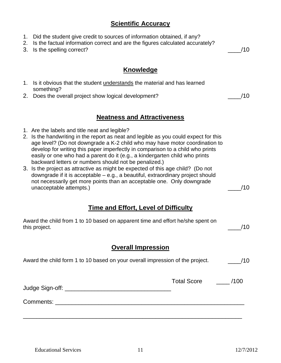### **Scientific Accuracy**

- 1. Did the student give credit to sources of information obtained, if any?
- 2. Is the factual information correct and are the figures calculated accurately?
- 3. Is the spelling correct?  $/10$

### **Knowledge**

- 1. Is it obvious that the student understands the material and has learned something?
- 2. Does the overall project show logical development?  $/10$

### **Neatness and Attractiveness**

- 1. Are the labels and title neat and legible?
- 2. Is the handwriting in the report as neat and legible as you could expect for this age level? (Do not downgrade a K-2 child who may have motor coordination to develop for writing this paper imperfectly in comparison to a child who prints easily or one who had a parent do it (e.g., a kindergarten child who prints backward letters or numbers should not be penalized.)
- 3. Is the project as attractive as might be expected of this age child? (Do not downgrade if it is acceptable – e.g., a beautiful, extraordinary project should not necessarily get more points than an acceptable one. Only downgrade unacceptable attempts.)  $/10$

### **Time and Effort, Level of Difficulty**

| Award the child from 1 to 10 based on apparent time and effort he/she spent on<br>this project. | /10 |
|-------------------------------------------------------------------------------------------------|-----|
| <b>Overall Impression</b>                                                                       |     |

| Award the child form 1 to 10 based on your overall impression of the project.                                                                                                                                                 |             | /10  |  |
|-------------------------------------------------------------------------------------------------------------------------------------------------------------------------------------------------------------------------------|-------------|------|--|
|                                                                                                                                                                                                                               | Total Score | /100 |  |
| Comments: the comments of the comments of the comments of the comments of the comments of the comments of the comments of the comments of the comments of the comments of the comments of the comments of the comments of the |             |      |  |